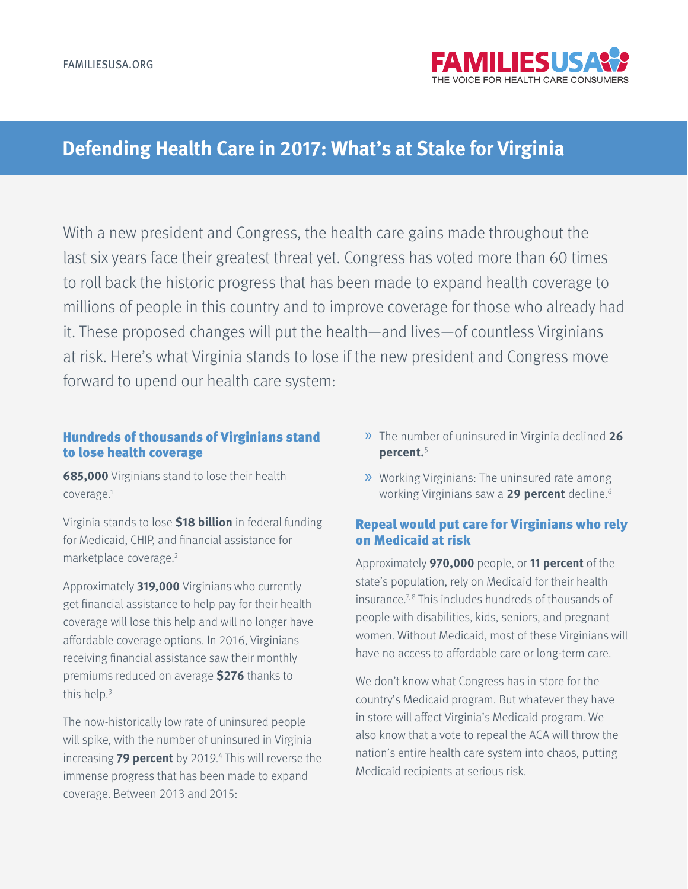

# **Defending Health Care in 2017: What's at Stake for Virginia**

With a new president and Congress, the health care gains made throughout the last six years face their greatest threat yet. Congress has voted more than 60 times to roll back the historic progress that has been made to expand health coverage to millions of people in this country and to improve coverage for those who already had it. These proposed changes will put the health—and lives—of countless Virginians at risk. Here's what Virginia stands to lose if the new president and Congress move forward to upend our health care system:

#### Hundreds of thousands of Virginians stand to lose health coverage

**685,000** Virginians stand to lose their health coverage.1

Virginia stands to lose **\$18 billion** in federal funding for Medicaid, CHIP, and financial assistance for marketplace coverage.2

Approximately **319,000** Virginians who currently get financial assistance to help pay for their health coverage will lose this help and will no longer have affordable coverage options. In 2016, Virginians receiving financial assistance saw their monthly premiums reduced on average **\$276** thanks to this help.3

The now-historically low rate of uninsured people will spike, with the number of uninsured in Virginia increasing 79 percent by 2019.<sup>4</sup> This will reverse the immense progress that has been made to expand coverage. Between 2013 and 2015:

- » The number of uninsured in Virginia declined **<sup>26</sup> percent.**<sup>5</sup>
- » Working Virginians: The uninsured rate among working Virginians saw a **29 percent** decline.6

## Repeal would put care for Virginians who rely on Medicaid at risk

Approximately **970,000** people, or **11 percent** of the state's population, rely on Medicaid for their health insurance.<sup>7,8</sup> This includes hundreds of thousands of people with disabilities, kids, seniors, and pregnant women. Without Medicaid, most of these Virginians will have no access to affordable care or long-term care.

We don't know what Congress has in store for the country's Medicaid program. But whatever they have in store will affect Virginia's Medicaid program. We also know that a vote to repeal the ACA will throw the nation's entire health care system into chaos, putting Medicaid recipients at serious risk.